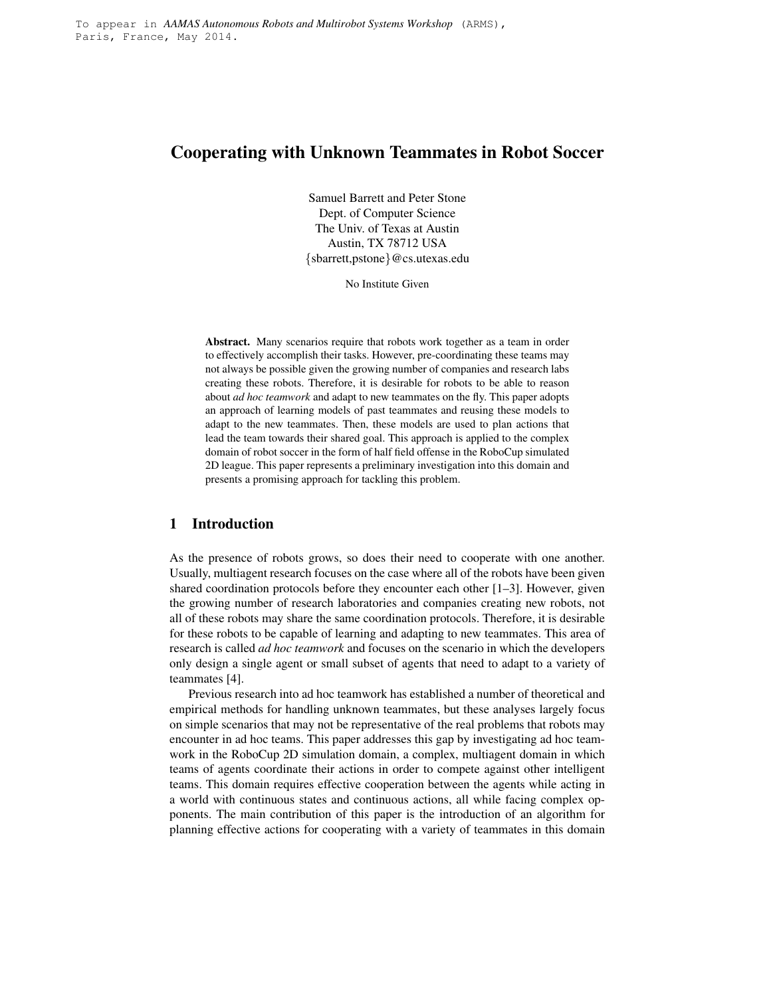# **Cooperating with Unknown Teammates in Robot Soccer**

Samuel Barrett and Peter Stone Dept. of Computer Science The Univ. of Texas at Austin Austin, TX 78712 USA {sbarrett,pstone}@cs.utexas.edu

No Institute Given

**Abstract.** Many scenarios require that robots work together as a team in order to effectively accomplish their tasks. However, pre-coordinating these teams may not always be possible given the growing number of companies and research labs creating these robots. Therefore, it is desirable for robots to be able to reason about *ad hoc teamwork* and adapt to new teammates on the fly. This paper adopts an approach of learning models of past teammates and reusing these models to adapt to the new teammates. Then, these models are used to plan actions that lead the team towards their shared goal. This approach is applied to the complex domain of robot soccer in the form of half field offense in the RoboCup simulated 2D league. This paper represents a preliminary investigation into this domain and presents a promising approach for tackling this problem.

## **1 Introduction**

As the presence of robots grows, so does their need to cooperate with one another. Usually, multiagent research focuses on the case where all of the robots have been given shared coordination protocols before they encounter each other [1–3]. However, given the growing number of research laboratories and companies creating new robots, not all of these robots may share the same coordination protocols. Therefore, it is desirable for these robots to be capable of learning and adapting to new teammates. This area of research is called *ad hoc teamwork* and focuses on the scenario in which the developers only design a single agent or small subset of agents that need to adapt to a variety of teammates [4].

Previous research into ad hoc teamwork has established a number of theoretical and empirical methods for handling unknown teammates, but these analyses largely focus on simple scenarios that may not be representative of the real problems that robots may encounter in ad hoc teams. This paper addresses this gap by investigating ad hoc teamwork in the RoboCup 2D simulation domain, a complex, multiagent domain in which teams of agents coordinate their actions in order to compete against other intelligent teams. This domain requires effective cooperation between the agents while acting in a world with continuous states and continuous actions, all while facing complex opponents. The main contribution of this paper is the introduction of an algorithm for planning effective actions for cooperating with a variety of teammates in this domain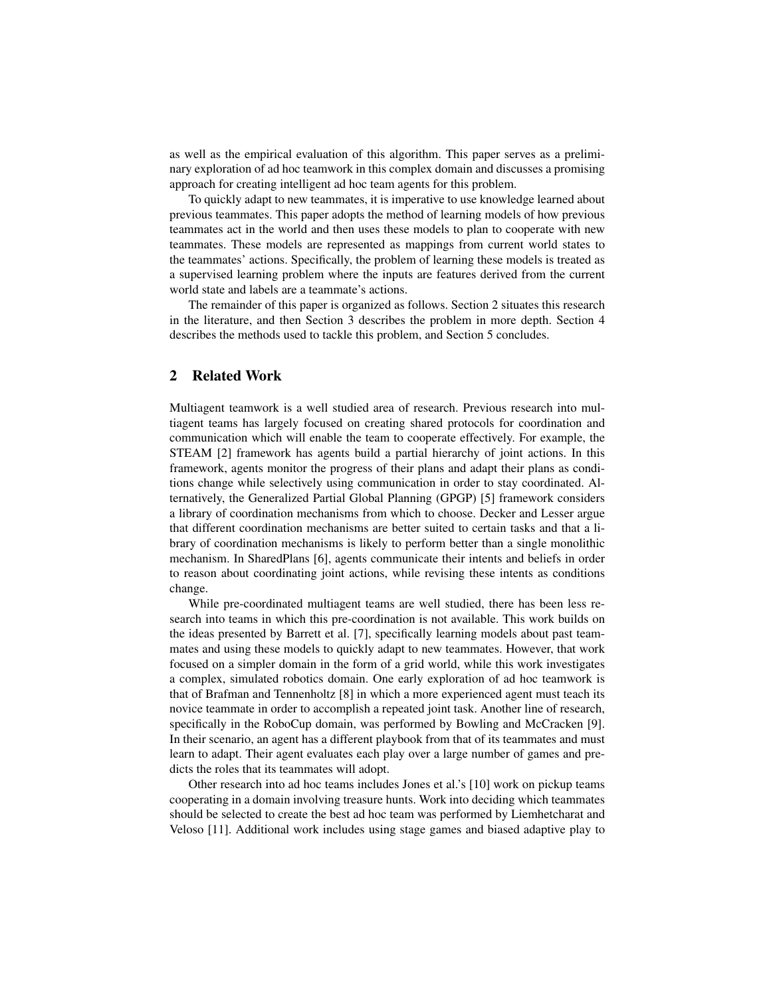as well as the empirical evaluation of this algorithm. This paper serves as a preliminary exploration of ad hoc teamwork in this complex domain and discusses a promising approach for creating intelligent ad hoc team agents for this problem.

To quickly adapt to new teammates, it is imperative to use knowledge learned about previous teammates. This paper adopts the method of learning models of how previous teammates act in the world and then uses these models to plan to cooperate with new teammates. These models are represented as mappings from current world states to the teammates' actions. Specifically, the problem of learning these models is treated as a supervised learning problem where the inputs are features derived from the current world state and labels are a teammate's actions.

The remainder of this paper is organized as follows. Section 2 situates this research in the literature, and then Section 3 describes the problem in more depth. Section 4 describes the methods used to tackle this problem, and Section 5 concludes.

## **2 Related Work**

Multiagent teamwork is a well studied area of research. Previous research into multiagent teams has largely focused on creating shared protocols for coordination and communication which will enable the team to cooperate effectively. For example, the STEAM [2] framework has agents build a partial hierarchy of joint actions. In this framework, agents monitor the progress of their plans and adapt their plans as conditions change while selectively using communication in order to stay coordinated. Alternatively, the Generalized Partial Global Planning (GPGP) [5] framework considers a library of coordination mechanisms from which to choose. Decker and Lesser argue that different coordination mechanisms are better suited to certain tasks and that a library of coordination mechanisms is likely to perform better than a single monolithic mechanism. In SharedPlans [6], agents communicate their intents and beliefs in order to reason about coordinating joint actions, while revising these intents as conditions change.

While pre-coordinated multiagent teams are well studied, there has been less research into teams in which this pre-coordination is not available. This work builds on the ideas presented by Barrett et al. [7], specifically learning models about past teammates and using these models to quickly adapt to new teammates. However, that work focused on a simpler domain in the form of a grid world, while this work investigates a complex, simulated robotics domain. One early exploration of ad hoc teamwork is that of Brafman and Tennenholtz [8] in which a more experienced agent must teach its novice teammate in order to accomplish a repeated joint task. Another line of research, specifically in the RoboCup domain, was performed by Bowling and McCracken [9]. In their scenario, an agent has a different playbook from that of its teammates and must learn to adapt. Their agent evaluates each play over a large number of games and predicts the roles that its teammates will adopt.

Other research into ad hoc teams includes Jones et al.'s [10] work on pickup teams cooperating in a domain involving treasure hunts. Work into deciding which teammates should be selected to create the best ad hoc team was performed by Liemhetcharat and Veloso [11]. Additional work includes using stage games and biased adaptive play to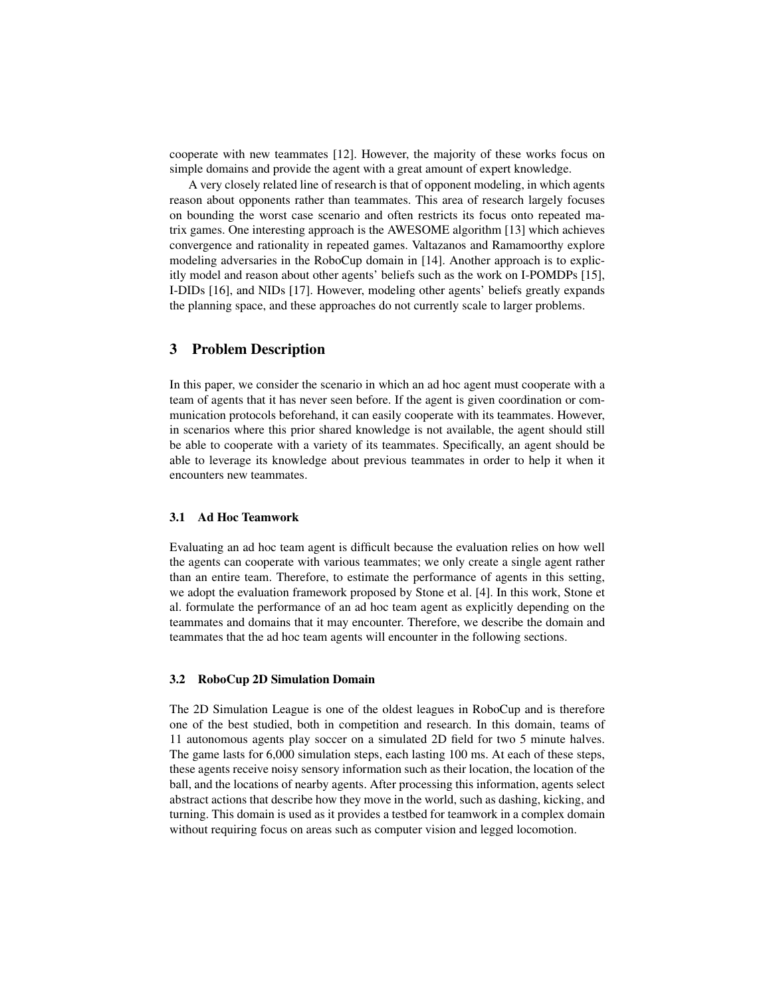cooperate with new teammates [12]. However, the majority of these works focus on simple domains and provide the agent with a great amount of expert knowledge.

A very closely related line of research is that of opponent modeling, in which agents reason about opponents rather than teammates. This area of research largely focuses on bounding the worst case scenario and often restricts its focus onto repeated matrix games. One interesting approach is the AWESOME algorithm [13] which achieves convergence and rationality in repeated games. Valtazanos and Ramamoorthy explore modeling adversaries in the RoboCup domain in [14]. Another approach is to explicitly model and reason about other agents' beliefs such as the work on I-POMDPs [15], I-DIDs [16], and NIDs [17]. However, modeling other agents' beliefs greatly expands the planning space, and these approaches do not currently scale to larger problems.

## **3 Problem Description**

In this paper, we consider the scenario in which an ad hoc agent must cooperate with a team of agents that it has never seen before. If the agent is given coordination or communication protocols beforehand, it can easily cooperate with its teammates. However, in scenarios where this prior shared knowledge is not available, the agent should still be able to cooperate with a variety of its teammates. Specifically, an agent should be able to leverage its knowledge about previous teammates in order to help it when it encounters new teammates.

#### **3.1 Ad Hoc Teamwork**

Evaluating an ad hoc team agent is difficult because the evaluation relies on how well the agents can cooperate with various teammates; we only create a single agent rather than an entire team. Therefore, to estimate the performance of agents in this setting, we adopt the evaluation framework proposed by Stone et al. [4]. In this work, Stone et al. formulate the performance of an ad hoc team agent as explicitly depending on the teammates and domains that it may encounter. Therefore, we describe the domain and teammates that the ad hoc team agents will encounter in the following sections.

#### **3.2 RoboCup 2D Simulation Domain**

The 2D Simulation League is one of the oldest leagues in RoboCup and is therefore one of the best studied, both in competition and research. In this domain, teams of 11 autonomous agents play soccer on a simulated 2D field for two 5 minute halves. The game lasts for 6,000 simulation steps, each lasting 100 ms. At each of these steps, these agents receive noisy sensory information such as their location, the location of the ball, and the locations of nearby agents. After processing this information, agents select abstract actions that describe how they move in the world, such as dashing, kicking, and turning. This domain is used as it provides a testbed for teamwork in a complex domain without requiring focus on areas such as computer vision and legged locomotion.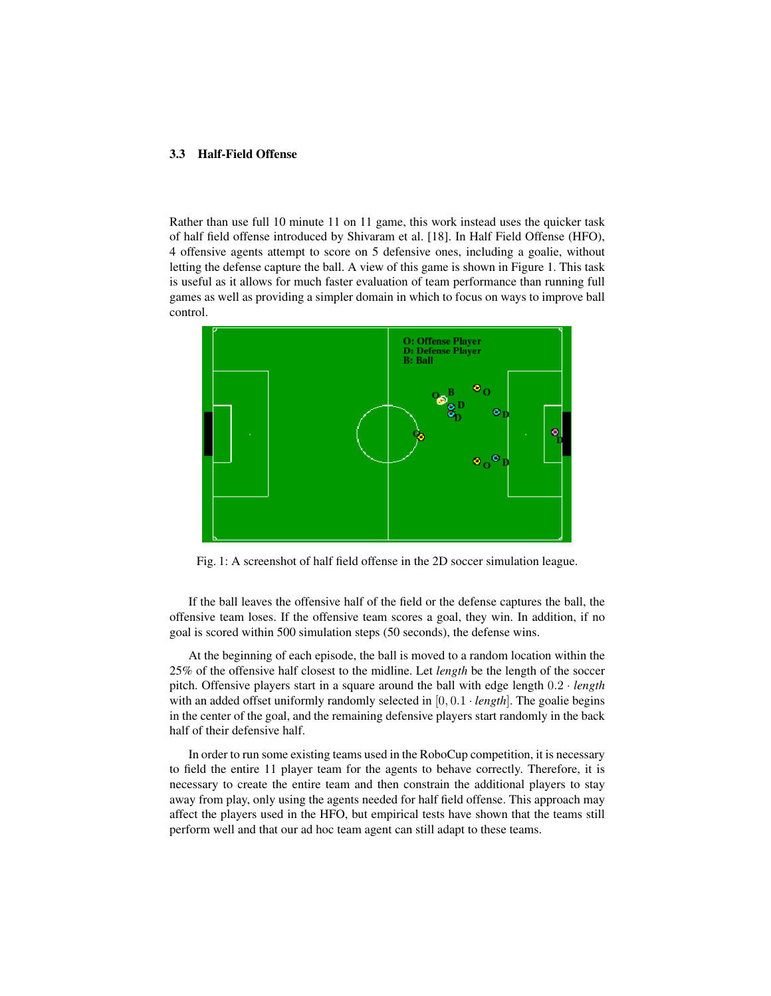#### **3.3 Half-Field Offense**

Rather than use full 10 minute 11 on 11 game, this work instead uses the quicker task of half field offense introduced by Shivaram et al. [18]. In Half Field Offense (HFO), 4 offensive agents attempt to score on 5 defensive ones, including a goalie, without letting the defense capture the ball. A view of this game is shown in Figure 1. This task is useful as it allows for much faster evaluation of team performance than running full games as well as providing a simpler domain in which to focus on ways to improve ball control.



Fig. 1: A screenshot of half field offense in the 2D soccer simulation league.

If the ball leaves the offensive half of the field or the defense captures the ball, the offensive team loses. If the offensive team scores a goal, they win. In addition, if no goal is scored within 500 simulation steps (50 seconds), the defense wins.

At the beginning of each episode, the ball is moved to a random location within the 25% of the offensive half closest to the midline. Let *length* be the length of the soccer pitch. Offensive players start in a square around the ball with edge length 0.2 · *length* with an added offset uniformly randomly selected in  $[0, 0.1 \cdot length]$ . The goalie begins in the center of the goal, and the remaining defensive players start randomly in the back half of their defensive half.

In order to run some existing teams used in the RoboCup competition, it is necessary to field the entire 11 player team for the agents to behave correctly. Therefore, it is necessary to create the entire team and then constrain the additional players to stay away from play, only using the agents needed for half field offense. This approach may affect the players used in the HFO, but empirical tests have shown that the teams still perform well and that our ad hoc team agent can still adapt to these teams.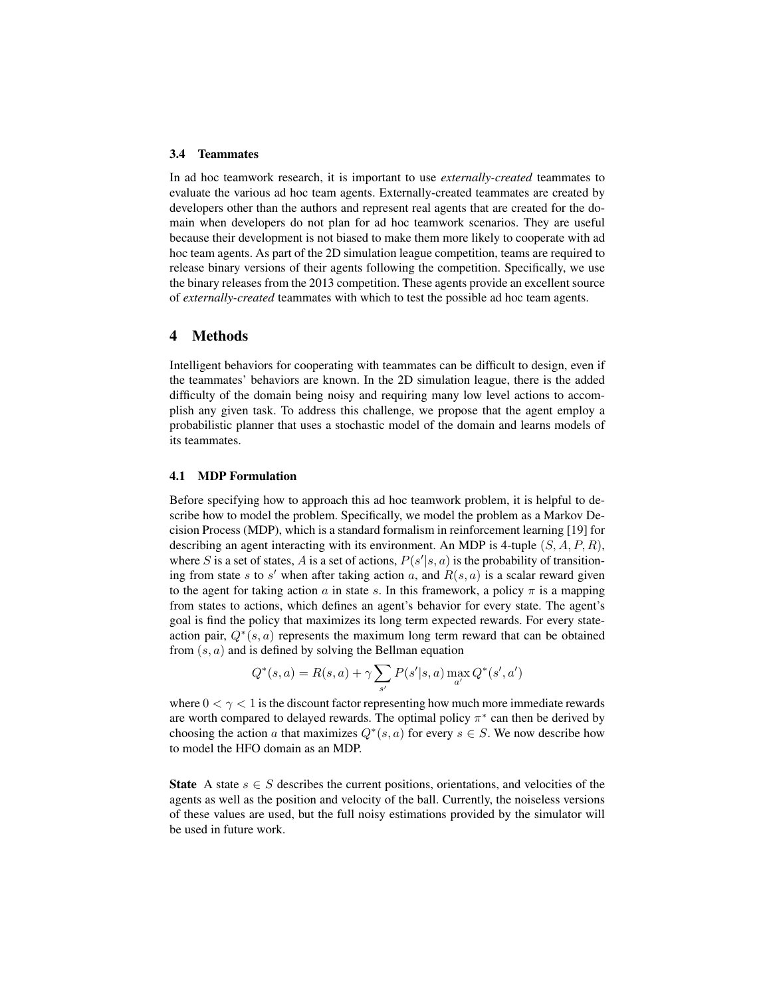#### **3.4 Teammates**

In ad hoc teamwork research, it is important to use *externally-created* teammates to evaluate the various ad hoc team agents. Externally-created teammates are created by developers other than the authors and represent real agents that are created for the domain when developers do not plan for ad hoc teamwork scenarios. They are useful because their development is not biased to make them more likely to cooperate with ad hoc team agents. As part of the 2D simulation league competition, teams are required to release binary versions of their agents following the competition. Specifically, we use the binary releases from the 2013 competition. These agents provide an excellent source of *externally-created* teammates with which to test the possible ad hoc team agents.

### **4 Methods**

Intelligent behaviors for cooperating with teammates can be difficult to design, even if the teammates' behaviors are known. In the 2D simulation league, there is the added difficulty of the domain being noisy and requiring many low level actions to accomplish any given task. To address this challenge, we propose that the agent employ a probabilistic planner that uses a stochastic model of the domain and learns models of its teammates.

## **4.1 MDP Formulation**

Before specifying how to approach this ad hoc teamwork problem, it is helpful to describe how to model the problem. Specifically, we model the problem as a Markov Decision Process (MDP), which is a standard formalism in reinforcement learning [19] for describing an agent interacting with its environment. An MDP is 4-tuple  $(S, A, P, R)$ , where S is a set of states, A is a set of actions,  $P(s'|s, a)$  is the probability of transitioning from state s to s' when after taking action a, and  $R(s, a)$  is a scalar reward given to the agent for taking action a in state s. In this framework, a policy  $\pi$  is a mapping from states to actions, which defines an agent's behavior for every state. The agent's goal is find the policy that maximizes its long term expected rewards. For every stateaction pair,  $Q^*(s, a)$  represents the maximum long term reward that can be obtained from  $(s, a)$  and is defined by solving the Bellman equation

$$
Q^*(s, a) = R(s, a) + \gamma \sum_{s'} P(s'|s, a) \max_{a'} Q^*(s', a')
$$

where  $0 < \gamma < 1$  is the discount factor representing how much more immediate rewards are worth compared to delayed rewards. The optimal policy  $\pi^*$  can then be derived by choosing the action a that maximizes  $Q^*(s, a)$  for every  $s \in S$ . We now describe how to model the HFO domain as an MDP.

**State** A state  $s \in S$  describes the current positions, orientations, and velocities of the agents as well as the position and velocity of the ball. Currently, the noiseless versions of these values are used, but the full noisy estimations provided by the simulator will be used in future work.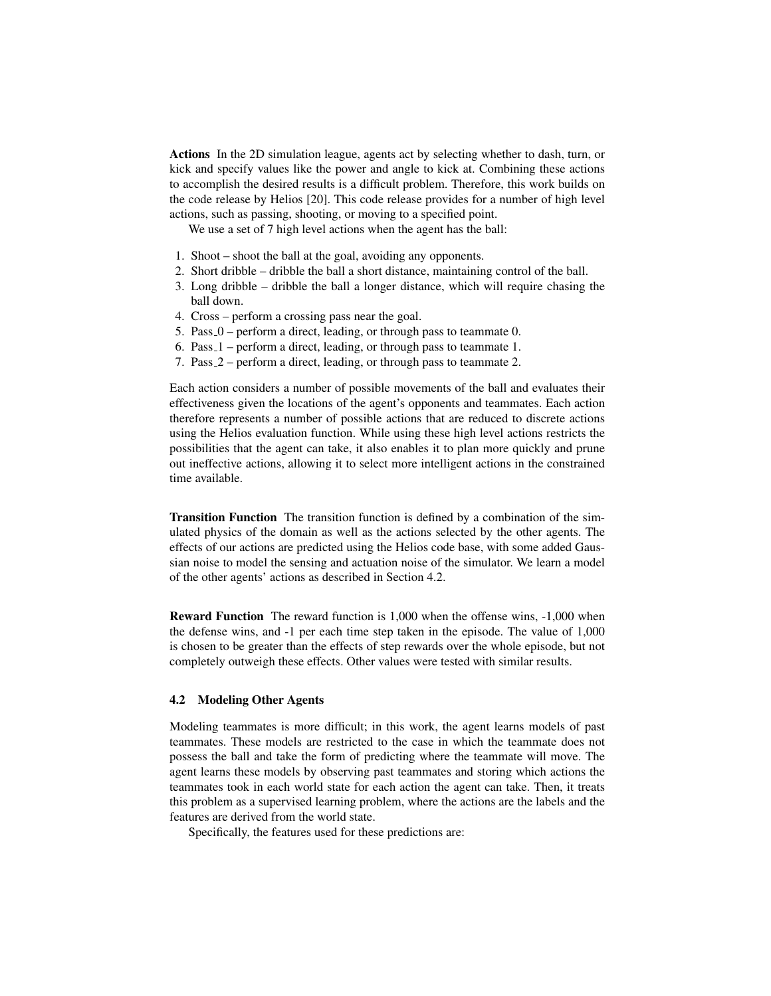**Actions** In the 2D simulation league, agents act by selecting whether to dash, turn, or kick and specify values like the power and angle to kick at. Combining these actions to accomplish the desired results is a difficult problem. Therefore, this work builds on the code release by Helios [20]. This code release provides for a number of high level actions, such as passing, shooting, or moving to a specified point.

We use a set of 7 high level actions when the agent has the ball:

- 1. Shoot shoot the ball at the goal, avoiding any opponents.
- 2. Short dribble dribble the ball a short distance, maintaining control of the ball.
- 3. Long dribble dribble the ball a longer distance, which will require chasing the ball down.
- 4. Cross perform a crossing pass near the goal.
- 5. Pass 0 perform a direct, leading, or through pass to teammate 0.
- 6. Pass 1 perform a direct, leading, or through pass to teammate 1.
- 7. Pass 2 perform a direct, leading, or through pass to teammate 2.

Each action considers a number of possible movements of the ball and evaluates their effectiveness given the locations of the agent's opponents and teammates. Each action therefore represents a number of possible actions that are reduced to discrete actions using the Helios evaluation function. While using these high level actions restricts the possibilities that the agent can take, it also enables it to plan more quickly and prune out ineffective actions, allowing it to select more intelligent actions in the constrained time available.

**Transition Function** The transition function is defined by a combination of the simulated physics of the domain as well as the actions selected by the other agents. The effects of our actions are predicted using the Helios code base, with some added Gaussian noise to model the sensing and actuation noise of the simulator. We learn a model of the other agents' actions as described in Section 4.2.

**Reward Function** The reward function is 1,000 when the offense wins, -1,000 when the defense wins, and -1 per each time step taken in the episode. The value of 1,000 is chosen to be greater than the effects of step rewards over the whole episode, but not completely outweigh these effects. Other values were tested with similar results.

### **4.2 Modeling Other Agents**

Modeling teammates is more difficult; in this work, the agent learns models of past teammates. These models are restricted to the case in which the teammate does not possess the ball and take the form of predicting where the teammate will move. The agent learns these models by observing past teammates and storing which actions the teammates took in each world state for each action the agent can take. Then, it treats this problem as a supervised learning problem, where the actions are the labels and the features are derived from the world state.

Specifically, the features used for these predictions are: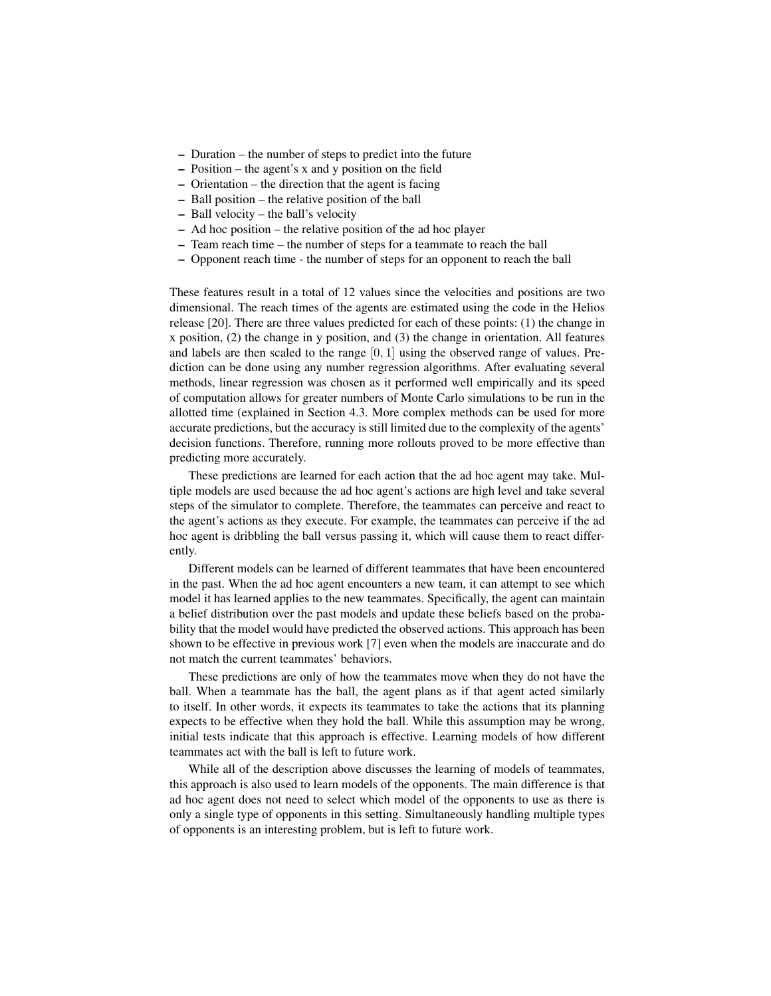- **–** Duration the number of steps to predict into the future
- **–** Position the agent's x and y position on the field
- **–** Orientation the direction that the agent is facing
- **–** Ball position the relative position of the ball
- **–** Ball velocity the ball's velocity
- **–** Ad hoc position the relative position of the ad hoc player
- **–** Team reach time the number of steps for a teammate to reach the ball
- **–** Opponent reach time the number of steps for an opponent to reach the ball

These features result in a total of 12 values since the velocities and positions are two dimensional. The reach times of the agents are estimated using the code in the Helios release [20]. There are three values predicted for each of these points: (1) the change in x position, (2) the change in y position, and (3) the change in orientation. All features and labels are then scaled to the range  $[0, 1]$  using the observed range of values. Prediction can be done using any number regression algorithms. After evaluating several methods, linear regression was chosen as it performed well empirically and its speed of computation allows for greater numbers of Monte Carlo simulations to be run in the allotted time (explained in Section 4.3. More complex methods can be used for more accurate predictions, but the accuracy is still limited due to the complexity of the agents' decision functions. Therefore, running more rollouts proved to be more effective than predicting more accurately.

These predictions are learned for each action that the ad hoc agent may take. Multiple models are used because the ad hoc agent's actions are high level and take several steps of the simulator to complete. Therefore, the teammates can perceive and react to the agent's actions as they execute. For example, the teammates can perceive if the ad hoc agent is dribbling the ball versus passing it, which will cause them to react differently.

Different models can be learned of different teammates that have been encountered in the past. When the ad hoc agent encounters a new team, it can attempt to see which model it has learned applies to the new teammates. Specifically, the agent can maintain a belief distribution over the past models and update these beliefs based on the probability that the model would have predicted the observed actions. This approach has been shown to be effective in previous work [7] even when the models are inaccurate and do not match the current teammates' behaviors.

These predictions are only of how the teammates move when they do not have the ball. When a teammate has the ball, the agent plans as if that agent acted similarly to itself. In other words, it expects its teammates to take the actions that its planning expects to be effective when they hold the ball. While this assumption may be wrong, initial tests indicate that this approach is effective. Learning models of how different teammates act with the ball is left to future work.

While all of the description above discusses the learning of models of teammates, this approach is also used to learn models of the opponents. The main difference is that ad hoc agent does not need to select which model of the opponents to use as there is only a single type of opponents in this setting. Simultaneously handling multiple types of opponents is an interesting problem, but is left to future work.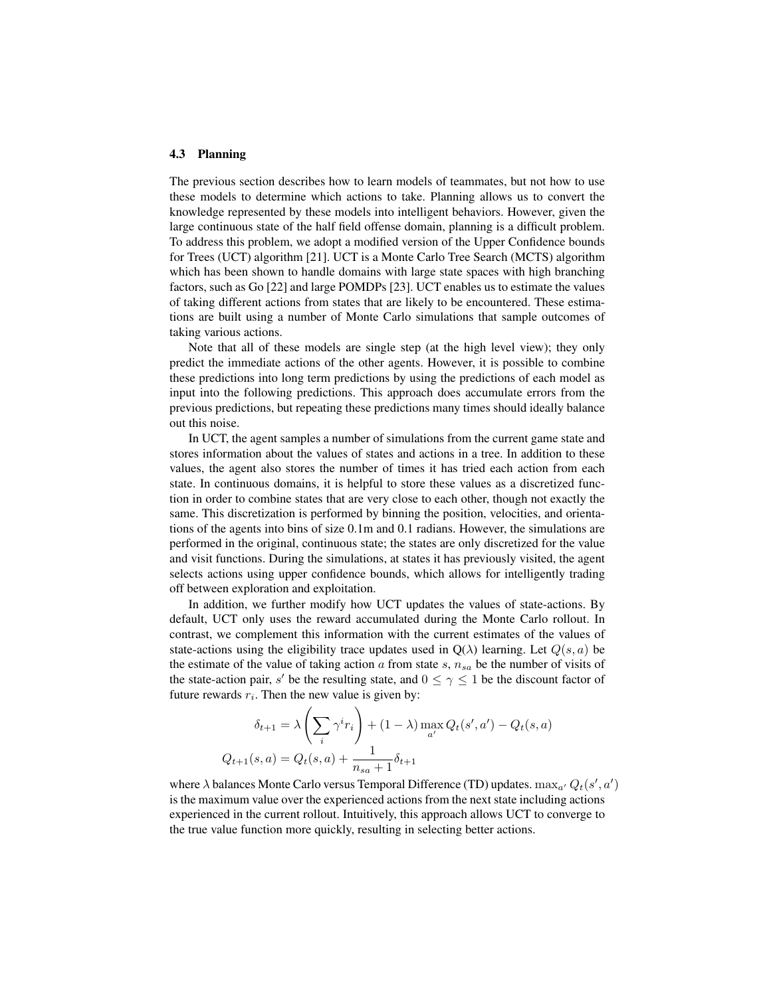#### **4.3 Planning**

The previous section describes how to learn models of teammates, but not how to use these models to determine which actions to take. Planning allows us to convert the knowledge represented by these models into intelligent behaviors. However, given the large continuous state of the half field offense domain, planning is a difficult problem. To address this problem, we adopt a modified version of the Upper Confidence bounds for Trees (UCT) algorithm [21]. UCT is a Monte Carlo Tree Search (MCTS) algorithm which has been shown to handle domains with large state spaces with high branching factors, such as Go [22] and large POMDPs [23]. UCT enables us to estimate the values of taking different actions from states that are likely to be encountered. These estimations are built using a number of Monte Carlo simulations that sample outcomes of taking various actions.

Note that all of these models are single step (at the high level view); they only predict the immediate actions of the other agents. However, it is possible to combine these predictions into long term predictions by using the predictions of each model as input into the following predictions. This approach does accumulate errors from the previous predictions, but repeating these predictions many times should ideally balance out this noise.

In UCT, the agent samples a number of simulations from the current game state and stores information about the values of states and actions in a tree. In addition to these values, the agent also stores the number of times it has tried each action from each state. In continuous domains, it is helpful to store these values as a discretized function in order to combine states that are very close to each other, though not exactly the same. This discretization is performed by binning the position, velocities, and orientations of the agents into bins of size 0.1m and 0.1 radians. However, the simulations are performed in the original, continuous state; the states are only discretized for the value and visit functions. During the simulations, at states it has previously visited, the agent selects actions using upper confidence bounds, which allows for intelligently trading off between exploration and exploitation.

In addition, we further modify how UCT updates the values of state-actions. By default, UCT only uses the reward accumulated during the Monte Carlo rollout. In contrast, we complement this information with the current estimates of the values of state-actions using the eligibility trace updates used in  $Q(\lambda)$  learning. Let  $Q(s, a)$  be the estimate of the value of taking action  $a$  from state  $s$ ,  $n_{sa}$  be the number of visits of the state-action pair, s' be the resulting state, and  $0 \leq \gamma \leq 1$  be the discount factor of future rewards  $r_i$ . Then the new value is given by:

$$
\delta_{t+1} = \lambda \left( \sum_{i} \gamma^{i} r_{i} \right) + (1 - \lambda) \max_{a'} Q_{t}(s', a') - Q_{t}(s, a)
$$

$$
Q_{t+1}(s, a) = Q_{t}(s, a) + \frac{1}{n_{sa} + 1} \delta_{t+1}
$$

where  $\lambda$  balances Monte Carlo versus Temporal Difference (TD) updates.  $\max_{a'} Q_t(s', a')$ is the maximum value over the experienced actions from the next state including actions experienced in the current rollout. Intuitively, this approach allows UCT to converge to the true value function more quickly, resulting in selecting better actions.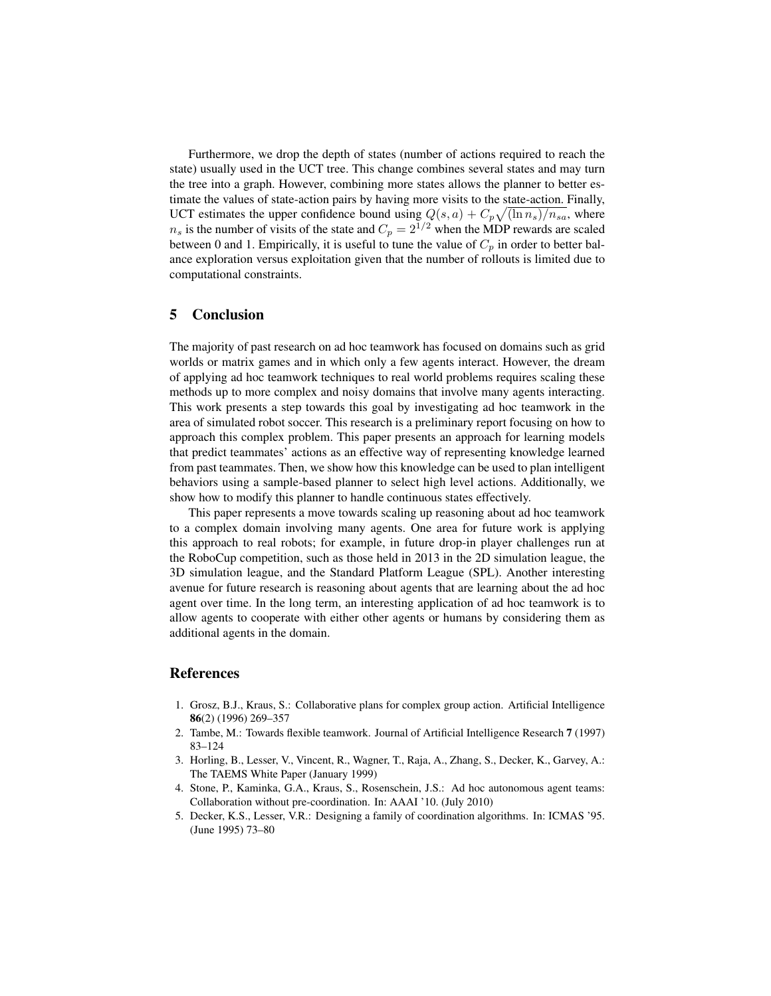Furthermore, we drop the depth of states (number of actions required to reach the state) usually used in the UCT tree. This change combines several states and may turn the tree into a graph. However, combining more states allows the planner to better estimate the values of state-action pairs by having more visits to the state-action. Finally, UCT estimates the upper confidence bound using  $Q(s, a) + C_p \sqrt{\frac{\ln n_s}{n_s a}}$ , where  $n<sub>s</sub>$  is the number of visits of the state and  $C_p = 2^{1/2}$  when the MDP rewards are scaled between 0 and 1. Empirically, it is useful to tune the value of  $C_p$  in order to better balance exploration versus exploitation given that the number of rollouts is limited due to computational constraints.

## **5 Conclusion**

The majority of past research on ad hoc teamwork has focused on domains such as grid worlds or matrix games and in which only a few agents interact. However, the dream of applying ad hoc teamwork techniques to real world problems requires scaling these methods up to more complex and noisy domains that involve many agents interacting. This work presents a step towards this goal by investigating ad hoc teamwork in the area of simulated robot soccer. This research is a preliminary report focusing on how to approach this complex problem. This paper presents an approach for learning models that predict teammates' actions as an effective way of representing knowledge learned from past teammates. Then, we show how this knowledge can be used to plan intelligent behaviors using a sample-based planner to select high level actions. Additionally, we show how to modify this planner to handle continuous states effectively.

This paper represents a move towards scaling up reasoning about ad hoc teamwork to a complex domain involving many agents. One area for future work is applying this approach to real robots; for example, in future drop-in player challenges run at the RoboCup competition, such as those held in 2013 in the 2D simulation league, the 3D simulation league, and the Standard Platform League (SPL). Another interesting avenue for future research is reasoning about agents that are learning about the ad hoc agent over time. In the long term, an interesting application of ad hoc teamwork is to allow agents to cooperate with either other agents or humans by considering them as additional agents in the domain.

## **References**

- 1. Grosz, B.J., Kraus, S.: Collaborative plans for complex group action. Artificial Intelligence **86**(2) (1996) 269–357
- 2. Tambe, M.: Towards flexible teamwork. Journal of Artificial Intelligence Research **7** (1997) 83–124
- 3. Horling, B., Lesser, V., Vincent, R., Wagner, T., Raja, A., Zhang, S., Decker, K., Garvey, A.: The TAEMS White Paper (January 1999)
- 4. Stone, P., Kaminka, G.A., Kraus, S., Rosenschein, J.S.: Ad hoc autonomous agent teams: Collaboration without pre-coordination. In: AAAI '10. (July 2010)
- 5. Decker, K.S., Lesser, V.R.: Designing a family of coordination algorithms. In: ICMAS '95. (June 1995) 73–80